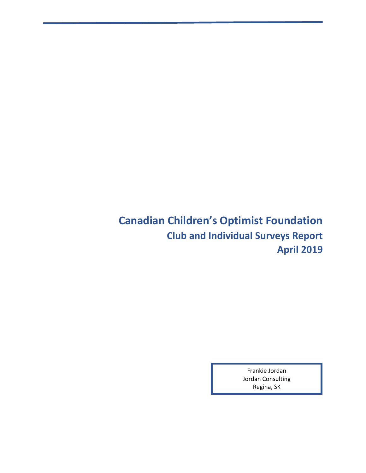**Canadian Children's Optimist Foundation Club and Individual Surveys Report April 2019**

> Frankie Jordan Jordan Consulting Regina, SK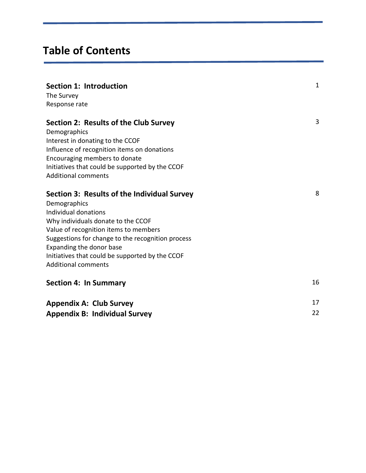# **Table of Contents**

| Section 1: Introduction<br>The Survey<br>Response rate                                                                                                                                                                                                                                                                               | $\mathbf{1}$ |
|--------------------------------------------------------------------------------------------------------------------------------------------------------------------------------------------------------------------------------------------------------------------------------------------------------------------------------------|--------------|
| Section 2: Results of the Club Survey<br>Demographics<br>Interest in donating to the CCOF<br>Influence of recognition items on donations<br>Encouraging members to donate<br>Initiatives that could be supported by the CCOF<br><b>Additional comments</b>                                                                           | 3            |
| Section 3: Results of the Individual Survey<br>Demographics<br>Individual donations<br>Why individuals donate to the CCOF<br>Value of recognition items to members<br>Suggestions for change to the recognition process<br>Expanding the donor base<br>Initiatives that could be supported by the CCOF<br><b>Additional comments</b> | 8            |
| <b>Section 4: In Summary</b>                                                                                                                                                                                                                                                                                                         | 16           |
| <b>Appendix A: Club Survey</b><br><b>Appendix B: Individual Survey</b>                                                                                                                                                                                                                                                               | 17<br>22     |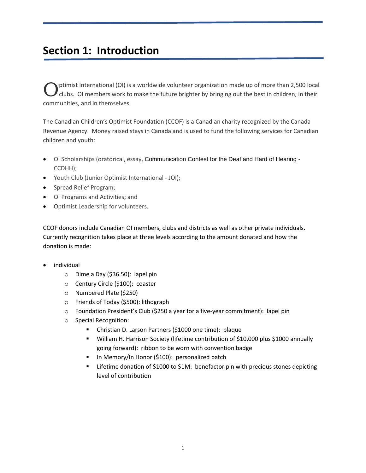# **Section 1: Introduction**

ptimist International (OI) is a worldwide volunteer organization made up of more than 2,500 local clubs. OI members work to make the future brighter by bringing out the best in children, in their communities, and in themselves. O

The Canadian Children's Optimist Foundation (CCOF) is a Canadian charity recognized by the Canada Revenue Agency. Money raised stays in Canada and is used to fund the following services for Canadian children and youth:

- OI Scholarships (oratorical, essay, Communication Contest for the Deaf and Hard of Hearing CCDHH);
- Youth Club (Junior Optimist International JOI);
- Spread Relief Program;
- OI Programs and Activities; and
- Optimist Leadership for volunteers.

CCOF donors include Canadian OI members, clubs and districts as well as other private individuals. Currently recognition takes place at three levels according to the amount donated and how the donation is made:

- individual
	- o Dime a Day (\$36.50): lapel pin
	- o Century Circle (\$100): coaster
	- o Numbered Plate (\$250)
	- o Friends of Today (\$500): lithograph
	- o Foundation President's Club (\$250 a year for a five-year commitment): lapel pin
	- o Special Recognition:
		- Christian D. Larson Partners (\$1000 one time): plaque
		- William H. Harrison Society (lifetime contribution of \$10,000 plus \$1000 annually going forward): ribbon to be worn with convention badge
		- **In Memory/In Honor (\$100): personalized patch**
		- Lifetime donation of \$1000 to \$1M: benefactor pin with precious stones depicting level of contribution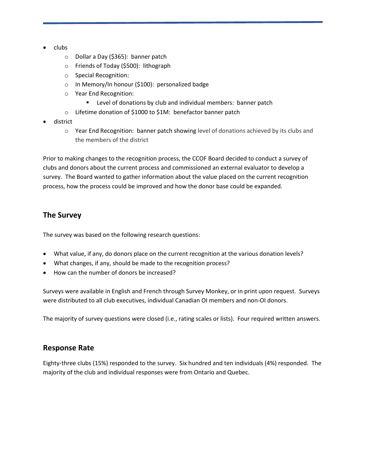- clubs
	- o Dollar a Day (\$365): banner patch
	- o Friends of Today (\$500): lithograph
	- o Special Recognition:
	- o In Memory/In honour (\$100): personalized badge
	- o Year End Recognition:
		- **EXECT** Level of donations by club and individual members: banner patch
	- o Lifetime donation of \$1000 to \$1M: benefactor banner patch
- district
	- o Year End Recognition: banner patch showing level of donations achieved by its clubs and the members of the district

Prior to making changes to the recognition process, the CCOF Board decided to conduct a survey of clubs and donors about the current process and commissioned an external evaluator to develop a survey. The Board wanted to gather information about the value placed on the current recognition process, how the process could be improved and how the donor base could be expanded.

## **The Survey**

The survey was based on the following research questions:

- What value, if any, do donors place on the current recognition at the various donation levels?
- What changes, if any, should be made to the recognition process?
- How can the number of donors be increased?

Surveys were available in English and French through Survey Monkey, or in print upon request. Surveys were distributed to all club executives, individual Canadian OI members and non-OI donors.

The majority of survey questions were closed (i.e., rating scales or lists). Four required written answers.

### **Response Rate**

Eighty-three clubs (15%) responded to the survey. Six hundred and ten individuals (4%) responded. The majority of the club and individual responses were from Ontario and Quebec.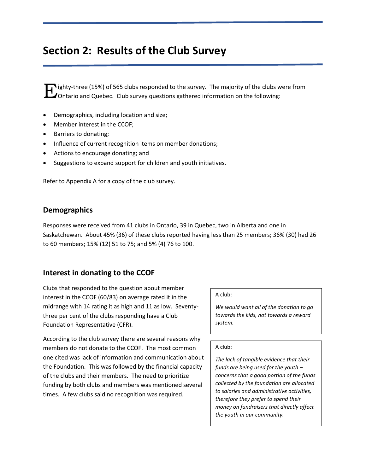# **Section 2: Results of the Club Survey**

**F** ighty-three (15%) of 565 clubs responded to the survey. The majority of the clubs were from Outario and Quebec. Club survey questions gathered information on the following: **J** Ontario and Quebec. Club survey questions gathered information on the following:

- Demographics, including location and size;
- Member interest in the CCOF;
- Barriers to donating;
- Influence of current recognition items on member donations;
- Actions to encourage donating; and
- Suggestions to expand support for children and youth initiatives.

Refer to Appendix A for a copy of the club survey.

### **Demographics**

Responses were received from 41 clubs in Ontario, 39 in Quebec, two in Alberta and one in Saskatchewan. About 45% (36) of these clubs reported having less than 25 members; 36% (30) had 26 to 60 members; 15% (12) 51 to 75; and 5% (4) 76 to 100.

## **Interest in donating to the CCOF**

Clubs that responded to the question about member interest in the CCOF (60/83) on average rated it in the midrange with 14 rating it as high and 11 as low. Seventythree per cent of the clubs responding have a Club Foundation Representative (CFR).

According to the club survey there are several reasons why members do not donate to the CCOF. The most common one cited was lack of information and communication about the Foundation. This was followed by the financial capacity of the clubs and their members. The need to prioritize funding by both clubs and members was mentioned several times. A few clubs said no recognition was required.

#### A club:

*We would want all of the donation to go towards the kids, not towards a reward system.*

### A club:

*The lack of tangible evidence that their funds are being used for the youth – concerns that a good portion of the funds collected by the foundation are allocated to salaries and administrative activities, therefore they prefer to spend their money on fundraisers that directly affect the youth in our community.*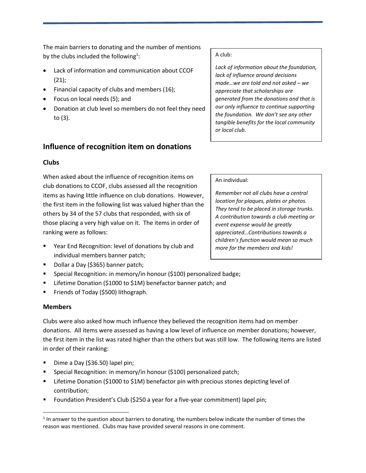The main barriers to donating and the number of mentions by the clubs included the following<sup>1</sup>:

- Lack of information and communication about CCOF (21);
- Financial capacity of clubs and members (16);
- Focus on local needs (5); and
- Donation at club level so members do not feel they need to (3).

## **Influence of recognition item on donations**

### **Clubs**

When asked about the influence of recognition items on club donations to CCOF, clubs assessed all the recognition items as having little influence on club donations. However, the first item in the following list was valued higher than the others by 34 of the 57 clubs that responded, with six of those placing a very high value on it. The items in order of ranking were as follows:

- Year End Recognition: level of donations by club and individual members banner patch;
- Dollar a Day (\$365) banner patch;
- Special Recognition: in memory/in honour (\$100) personalized badge;
- Lifetime Donation (\$1000 to \$1M) benefactor banner patch; and
- Friends of Today (\$500) lithograph.

### **Members**

 $\overline{\phantom{a}}$ 

Clubs were also asked how much influence they believed the recognition items had on member donations. All items were assessed as having a low level of influence on member donations; however, the first item in the list was rated higher than the others but was still low. The following items are listed in order of their ranking:

- Dime a Day (\$36.50) lapel pin;
- Special Recognition: in memory/in honour (\$100) personalized patch;
- Lifetime Donation (\$1000 to \$1M) benefactor pin with precious stones depicting level of contribution;
- Foundation President's Club (\$250 a year for a five-year commitment) lapel pin;

### A club:

*Lack of information about the foundation, lack of influence around decisions made…we are told and not asked – we appreciate that scholarships are generated from the donations and that is our only influence to continue supporting the foundation. We don't see any other tangible benefits for the local community or local club.*

### An individual:

*Remember not all clubs have a central location for plaques, plates or photos. They tend to be placed in storage trunks. A contribution towards a club meeting or event expense would be greatly appreciated…Contributions towards a children's function would mean so much more for the members and kids!*

 $<sup>1</sup>$  In answer to the question about barriers to donating, the numbers below indicate the number of times the</sup> reason was mentioned. Clubs may have provided several reasons in one comment.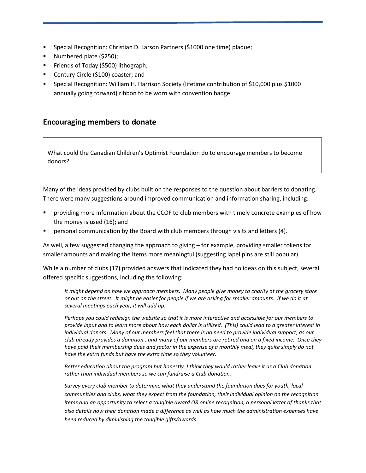- Special Recognition: Christian D. Larson Partners (\$1000 one time) plaque;
- **Numbered plate (\$250);**
- Friends of Today (\$500) lithograph;
- Century Circle (\$100) coaster; and
- Special Recognition: William H. Harrison Society (lifetime contribution of \$10,000 plus \$1000 annually going forward) ribbon to be worn with convention badge.

## **Encouraging members to donate**

What could the Canadian Children's Optimist Foundation do to encourage members to become donors?

Many of the ideas provided by clubs built on the responses to the question about barriers to donating. There were many suggestions around improved communication and information sharing, including:

- providing more information about the CCOF to club members with timely concrete examples of how the money is used (16); and
- personal communication by the Board with club members through visits and letters (4).

As well, a few suggested changing the approach to giving – for example, providing smaller tokens for smaller amounts and making the items more meaningful (suggesting lapel pins are still popular).

While a number of clubs (17) provided answers that indicated they had no ideas on this subject, several offered specific suggestions, including the following:

*It might depend on how we approach members. Many people give money to charity at the grocery store or out on the street. It might be easier for people if we are asking for smaller amounts. If we do it at several meetings each year, it will add up.*

*Perhaps you could redesign the website so that it is more interactive and accessible for our members to provide input and to learn more about how each dollar is utilized. (This) could lead to a greater interest in individual donors. Many of our members feel that there is no need to provide individual support, as our club already provides a donation...and many of our members are retired and on a fixed income. Once they have paid their membership dues and factor in the expense of a monthly meal, they quite simply do not have the extra funds but have the extra time so they volunteer.* 

*Better education about the program but honestly, I think they would rather leave it as a Club donation rather than individual members so we can fundraise a Club donation.*

*Survey every club member to determine what they understand the foundation does for youth, local communities and clubs, what they expect from the foundation, their individual opinion on the recognition items and an opportunity to select a tangible award OR online recognition, a personal letter of thanks that also details how their donation made a difference as well as how much the administration expenses have been reduced by diminishing the tangible gifts/awards.*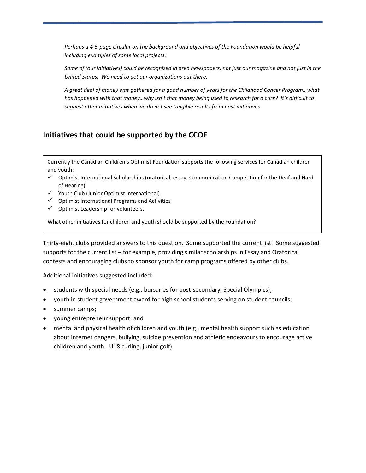*Perhaps a 4-5-page circular on the background and objectives of the Foundation would be helpful including examples of some local projects.*

*Some of (our initiatives) could be recognized in area newspapers, not just our magazine and not just in the United States. We need to get our organizations out there.*

*A great deal of money was gathered for a good number of years for the Childhood Cancer Program…what has happened with that money…why isn't that money being used to research for a cure? It's difficult to suggest other initiatives when we do not see tangible results from past initiatives.*

# **Initiatives that could be supported by the CCOF**

Currently the Canadian Children's Optimist Foundation supports the following services for Canadian children and youth:

- Optimist International Scholarships (oratorical, essay, Communication Competition for the Deaf and Hard of Hearing)
- $\checkmark$  Youth Club (Junior Optimist International)
- $\checkmark$  Optimist International Programs and Activities
- $\checkmark$  Optimist Leadership for volunteers.

What other initiatives for children and youth should be supported by the Foundation?

Thirty-eight clubs provided answers to this question. Some supported the current list. Some suggested supports for the current list – for example, providing similar scholarships in Essay and Oratorical contests and encouraging clubs to sponsor youth for camp programs offered by other clubs.

Additional initiatives suggested included:

- students with special needs (e.g., bursaries for post-secondary, Special Olympics);
- youth in student government award for high school students serving on student councils;
- summer camps;
- young entrepreneur support; and
- mental and physical health of children and youth (e.g., mental health support such as education about internet dangers, bullying, suicide prevention and athletic endeavours to encourage active children and youth - U18 curling, junior golf).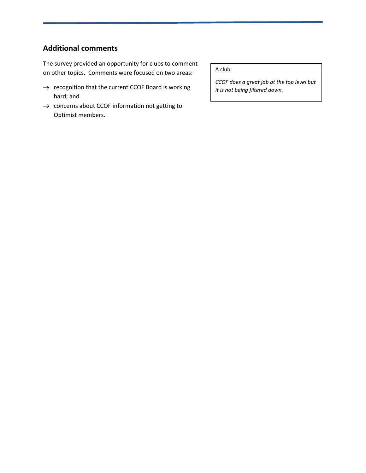# **Additional comments**

The survey provided an opportunity for clubs to comment on other topics. Comments were focused on two areas:

- $\rightarrow$  recognition that the current CCOF Board is working hard; and
- $\rightarrow$  concerns about CCOF information not getting to Optimist members.

A club:

*CCOF does a great job at the top level but it is not being filtered down.*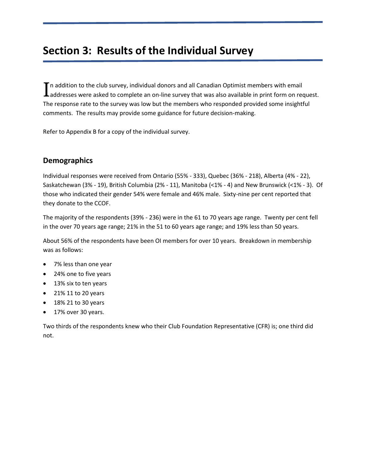# **Section 3: Results of the Individual Survey**

 $\blacksquare$  n addition to the club survey, individual donors and all Canadian Optimist members with email  $\prod$ n addition to the club survey, individual donors and all Canadian Optimist members with email<br> $\prod$ addresses were asked to complete an on-line survey that was also available in print form on request. The response rate to the survey was low but the members who responded provided some insightful comments. The results may provide some guidance for future decision-making.

Refer to Appendix B for a copy of the individual survey.

### **Demographics**

Individual responses were received from Ontario (55% - 333), Quebec (36% - 218), Alberta (4% - 22), Saskatchewan (3% - 19), British Columbia (2% - 11), Manitoba (<1% - 4) and New Brunswick (<1% - 3). Of those who indicated their gender 54% were female and 46% male. Sixty-nine per cent reported that they donate to the CCOF.

The majority of the respondents (39% - 236) were in the 61 to 70 years age range. Twenty per cent fell in the over 70 years age range; 21% in the 51 to 60 years age range; and 19% less than 50 years.

About 56% of the respondents have been OI members for over 10 years. Breakdown in membership was as follows:

- 7% less than one year
- 24% one to five years
- 13% six to ten years
- 21% 11 to 20 years
- 18% 21 to 30 years
- 17% over 30 years.

Two thirds of the respondents knew who their Club Foundation Representative (CFR) is; one third did not.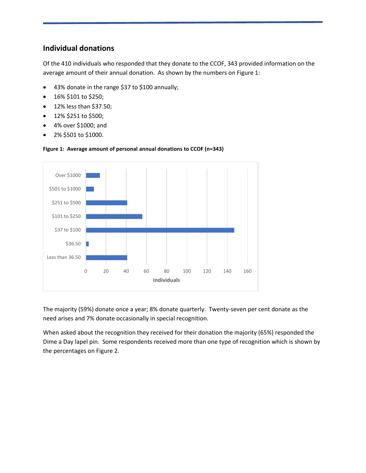## **Individual donations**

Of the 410 individuals who responded that they donate to the CCOF, 343 provided information on the average amount of their annual donation. As shown by the numbers on Figure 1:

- 43% donate in the range \$37 to \$100 annually;
- 16% \$101 to \$250;
- 12% less than \$37.50;
- $\bullet$  12% \$251 to \$500;
- 4% over \$1000; and
- 2% \$501 to \$1000.



#### **Figure 1: Average amount of personal annual donations to CCOF (n=343)**

The majority (59%) donate once a year; 8% donate quarterly. Twenty-seven per cent donate as the need arises and 7% donate occasionally in special recognition.

When asked about the recognition they received for their donation the majority (65%) responded the Dime a Day lapel pin. Some respondents received more than one type of recognition which is shown by the percentages on Figure 2.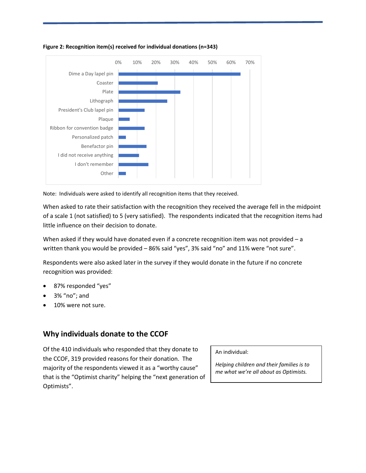

#### **Figure 2: Recognition item(s) received for individual donations (n=343)**

Note: Individuals were asked to identify all recognition items that they received.

When asked to rate their satisfaction with the recognition they received the average fell in the midpoint of a scale 1 (not satisfied) to 5 (very satisfied). The respondents indicated that the recognition items had little influence on their decision to donate.

When asked if they would have donated even if a concrete recognition item was not provided - a written thank you would be provided – 86% said "yes", 3% said "no" and 11% were "not sure".

Respondents were also asked later in the survey if they would donate in the future if no concrete recognition was provided:

- 87% responded "yes"
- 3% "no"; and
- 10% were not sure.

### **Why individuals donate to the CCOF**

Of the 410 individuals who responded that they donate to the CCOF, 319 provided reasons for their donation. The majority of the respondents viewed it as a "worthy cause" that is the "Optimist charity" helping the "next generation of Optimists".

#### An individual:

*Helping children and their families is to me what we're all about as Optimists.*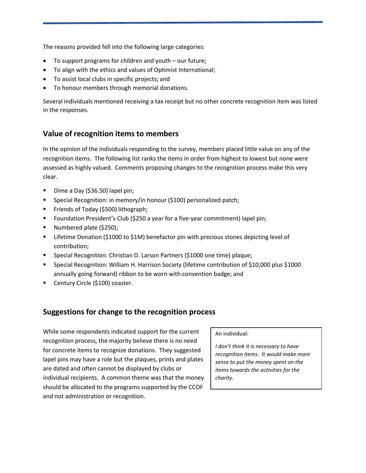The reasons provided fell into the following large categories:

- To support programs for children and youth our future;
- To align with the ethics and values of Optimist International;
- To assist local clubs in specific projects; and
- To honour members through memorial donations.

Several individuals mentioned receiving a tax receipt but no other concrete recognition item was listed in the responses.

## **Value of recognition items to members**

In the opinion of the individuals responding to the survey, members placed little value on any of the recognition items. The following list ranks the items in order from highest to lowest but none were assessed as highly valued. Comments proposing changes to the recognition process make this very clear.

- Dime a Day (\$36.50) lapel pin;
- **Special Recognition: in memory/in honour (\$100) personalized patch;**
- **Friends of Today (\$500) lithograph;**
- Foundation President's Club (\$250 a year for a five-year commitment) lapel pin;
- **Numbered plate (\$250);**
- Lifetime Donation (\$1000 to \$1M) benefactor pin with precious stones depicting level of contribution;
- Special Recognition: Christian D. Larson Partners (\$1000 one time) plaque;
- Special Recognition: William H. Harrison Society (lifetime contribution of \$10,000 plus \$1000 annually going forward) ribbon to be worn with convention badge; and
- **Century Circle (\$100) coaster.**

## **Suggestions for change to the recognition process**

While some respondents indicated support for the current recognition process, the majority believe there is no need for concrete items to recognize donations. They suggested lapel pins may have a role but the plaques, prints and plates are dated and often cannot be displayed by clubs or individual recipients. A common theme was that the money should be allocated to the programs supported by the CCOF and not administration or recognition.

#### An individual:

*I don't think it is necessary to have recognition items. It would make more sense to put the money spent on the items towards the activities for the charity.*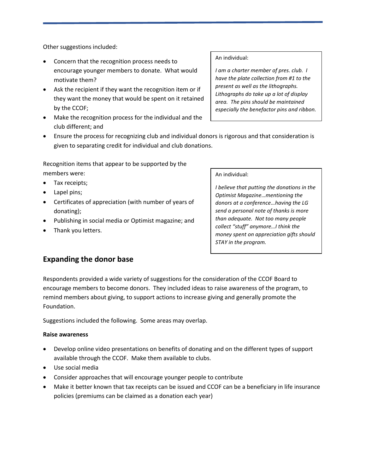Other suggestions included:

- Concern that the recognition process needs to encourage younger members to donate. What would motivate them?
- Ask the recipient if they want the recognition item or if they want the money that would be spent on it retained by the CCOF;
- Make the recognition process for the individual and the club different; and
- Ensure the process for recognizing club and individual donors is rigorous and that consideration is given to separating credit for individual and club donations.

Recognition items that appear to be supported by the members were:

- Tax receipts:
- Lapel pins;
- Certificates of appreciation (with number of years of donating);
- Publishing in social media or Optimist magazine; and
- Thank you letters.

An individual:

*I am a charter member of pres. club. I have the plate collection from #1 to the present as well as the lithographs. Lithographs do take up a lot of display area. The pins should be maintained especially the benefactor pins and ribbon.*

#### An individual:

*I believe that putting the donations in the Optimist Magazine…mentioning the donors at a conference…having the LG send a personal note of thanks is more than adequate. Not too many people collect "stuff" anymore…I think the money spent on appreciation gifts should STAY in the program.*

### **Expanding the donor base**

Respondents provided a wide variety of suggestions for the consideration of the CCOF Board to encourage members to become donors. They included ideas to raise awareness of the program, to remind members about giving, to support actions to increase giving and generally promote the Foundation.

Suggestions included the following. Some areas may overlap.

#### **Raise awareness**

- Develop online video presentations on benefits of donating and on the different types of support available through the CCOF. Make them available to clubs.
- Use social media
- Consider approaches that will encourage younger people to contribute
- Make it better known that tax receipts can be issued and CCOF can be a beneficiary in life insurance policies (premiums can be claimed as a donation each year)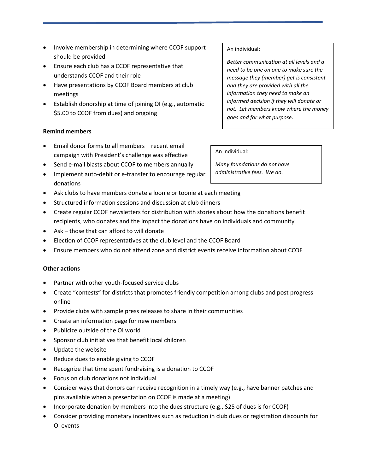- Involve membership in determining where CCOF support should be provided
- Ensure each club has a CCOF representative that understands CCOF and their role
- Have presentations by CCOF Board members at club meetings
- Establish donorship at time of joining OI (e.g., automatic \$5.00 to CCOF from dues) and ongoing

### **Remind members**

- Email donor forms to all members recent email campaign with President's challenge was effective
- Send e-mail blasts about CCOF to members annually
- Implement auto-debit or e-transfer to encourage regular donations
- Ask clubs to have members donate a loonie or toonie at each meeting
- Structured information sessions and discussion at club dinners
- Create regular CCOF newsletters for distribution with stories about how the donations benefit recipients, who donates and the impact the donations have on individuals and community
- Ask those that can afford to will donate
- Election of CCOF representatives at the club level and the CCOF Board
- Ensure members who do not attend zone and district events receive information about CCOF

### **Other actions**

- Partner with other youth-focused service clubs
- Create "contests" for districts that promotes friendly competition among clubs and post progress online
- Provide clubs with sample press releases to share in their communities
- Create an information page for new members
- Publicize outside of the OI world
- Sponsor club initiatives that benefit local children
- Update the website
- Reduce dues to enable giving to CCOF
- Recognize that time spent fundraising is a donation to CCOF
- Focus on club donations not individual
- Consider ways that donors can receive recognition in a timely way (e.g., have banner patches and pins available when a presentation on CCOF is made at a meeting)
- Incorporate donation by members into the dues structure (e.g., \$25 of dues is for CCOF)
- Consider providing monetary incentives such as reduction in club dues or registration discounts for OI events

#### An individual:

*Better communication at all levels and a need to be one on one to make sure the message they (member) get is consistent and they are provided with all the information they need to make an informed decision if they will donate or not. Let members know where the money goes and for what purpose.*

#### An individual:

*Many foundations do not have administrative fees. We do.*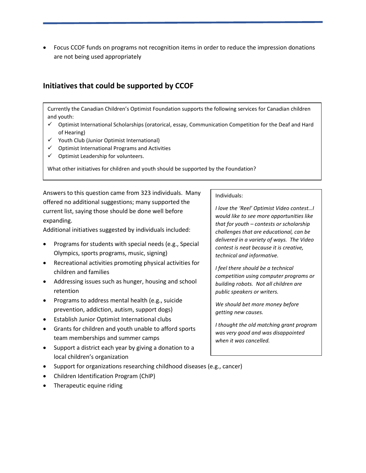Focus CCOF funds on programs not recognition items in order to reduce the impression donations are not being used appropriately

## **Initiatives that could be supported by CCOF**

Currently the Canadian Children's Optimist Foundation supports the following services for Canadian children and youth:

- Optimist International Scholarships (oratorical, essay, Communication Competition for the Deaf and Hard of Hearing)
- $\checkmark$  Youth Club (Junior Optimist International)
- $\checkmark$  Optimist International Programs and Activities
- $\checkmark$  Optimist Leadership for volunteers.

What other initiatives for children and youth should be supported by the Foundation?

Answers to this question came from 323 individuals. Many offered no additional suggestions; many supported the current list, saying those should be done well before expanding.

Additional initiatives suggested by individuals included:

- Programs for students with special needs (e.g., Special Olympics, sports programs, music, signing)
- Recreational activities promoting physical activities for children and families
- Addressing issues such as hunger, housing and school retention
- Programs to address mental health (e.g., suicide prevention, addiction, autism, support dogs)
- Establish Junior Optimist International clubs
- Grants for children and youth unable to afford sports team memberships and summer camps
- Support a district each year by giving a donation to a local children's organization
- Support for organizations researching childhood diseases (e.g., cancer)
- Children Identification Program (ChIP)
- Therapeutic equine riding

#### Individuals:

*I love the 'Reel' Optimist Video contest…I would like to see more opportunities like that for youth – contests or scholarship challenges that are educational, can be delivered in a variety of ways. The Video contest is neat because it is creative, technical and informative.*

*I feel there should be a technical competition using computer programs or building robots. Not all children are public speakers or writers.*

*We should bet more money before getting new causes.*

*I thought the old matching grant program was very good and was disappointed when it was cancelled.*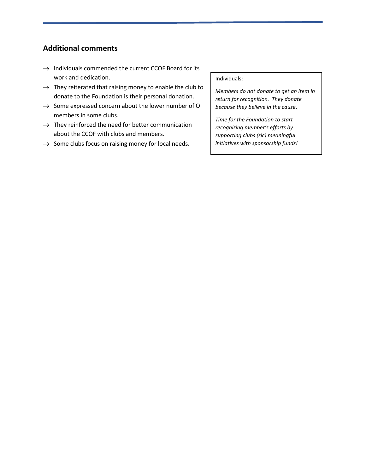# **Additional comments**

- $\rightarrow$  Individuals commended the current CCOF Board for its work and dedication.
- $\rightarrow$  They reiterated that raising money to enable the club to donate to the Foundation is their personal donation.
- $\rightarrow$  Some expressed concern about the lower number of OI members in some clubs.
- $\rightarrow$  They reinforced the need for better communication about the CCOF with clubs and members.
- $\rightarrow$  Some clubs focus on raising money for local needs.

Individuals:

*Members do not donate to get an item in return for recognition. They donate because they believe in the cause*.

*Time for the Foundation to start recognizing member's efforts by supporting clubs (sic) meaningful initiatives with sponsorship funds!*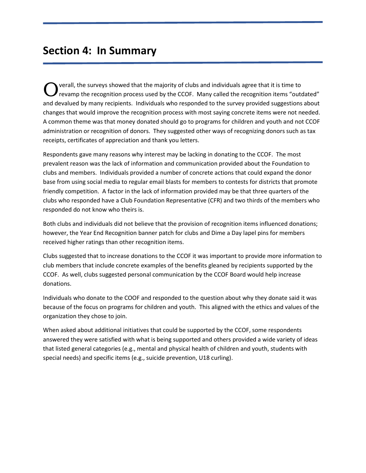# **Section 4: In Summary**

verall, the surveys showed that the majority of clubs and individuals agree that it is time to revamp the recognition process used by the CCOF. Many called the recognition items "outdated" and devalued by many recipients. Individuals who responded to the survey provided suggestions about changes that would improve the recognition process with most saying concrete items were not needed. A common theme was that money donated should go to programs for children and youth and not CCOF administration or recognition of donors. They suggested other ways of recognizing donors such as tax receipts, certificates of appreciation and thank you letters. O

Respondents gave many reasons why interest may be lacking in donating to the CCOF. The most prevalent reason was the lack of information and communication provided about the Foundation to clubs and members. Individuals provided a number of concrete actions that could expand the donor base from using social media to regular email blasts for members to contests for districts that promote friendly competition. A factor in the lack of information provided may be that three quarters of the clubs who responded have a Club Foundation Representative (CFR) and two thirds of the members who responded do not know who theirs is.

Both clubs and individuals did not believe that the provision of recognition items influenced donations; however, the Year End Recognition banner patch for clubs and Dime a Day lapel pins for members received higher ratings than other recognition items.

Clubs suggested that to increase donations to the CCOF it was important to provide more information to club members that include concrete examples of the benefits gleaned by recipients supported by the CCOF. As well, clubs suggested personal communication by the CCOF Board would help increase donations.

Individuals who donate to the COOF and responded to the question about why they donate said it was because of the focus on programs for children and youth. This aligned with the ethics and values of the organization they chose to join.

When asked about additional initiatives that could be supported by the CCOF, some respondents answered they were satisfied with what is being supported and others provided a wide variety of ideas that listed general categories (e.g., mental and physical health of children and youth, students with special needs) and specific items (e.g., suicide prevention, U18 curling).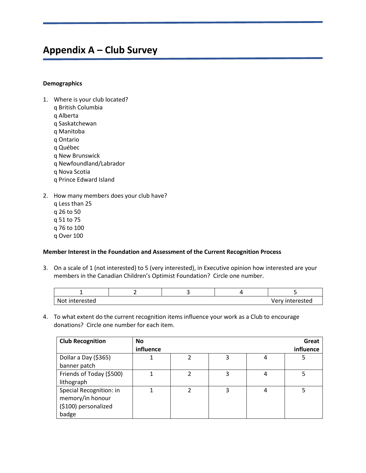# **Appendix A – Club Survey**

#### **Demographics**

- 1. Where is your club located?
	- q British Columbia
	- q Alberta
	- q Saskatchewan
	- q Manitoba
	- q Ontario
	- q Québec
	- q New Brunswick
	- q Newfoundland/Labrador
	- q Nova Scotia
	- q Prince Edward Island
- 2. How many members does your club have? q Less than 25 q 26 to 50 q 51 to 75 q 76 to 100 q Over 100

### **Member Interest in the Foundation and Assessment of the Current Recognition Process**

3. On a scale of 1 (not interested) to 5 (very interested), in Executive opinion how interested are your members in the Canadian Children's Optimist Foundation? Circle one number.

| Not interested |  | Very interested |
|----------------|--|-----------------|

4. To what extent do the current recognition items influence your work as a Club to encourage donations? Circle one number for each item.

| <b>Club Recognition</b>  | <b>No</b> |   |   |   | Great     |
|--------------------------|-----------|---|---|---|-----------|
|                          | influence |   |   |   | influence |
| Dollar a Day (\$365)     |           | າ | 3 | 4 | 5         |
| banner patch             |           |   |   |   |           |
| Friends of Today (\$500) |           |   | 3 | 4 |           |
| lithograph               |           |   |   |   |           |
| Special Recognition: in  |           | າ | 3 | 4 |           |
| memory/in honour         |           |   |   |   |           |
| (\$100) personalized     |           |   |   |   |           |
| badge                    |           |   |   |   |           |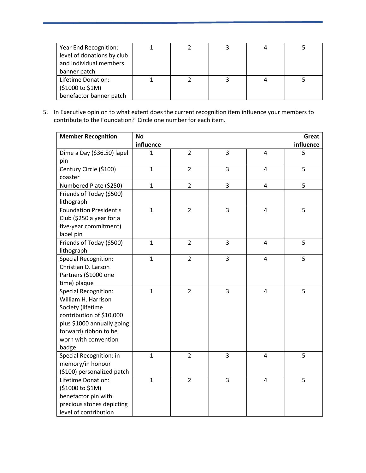| Year End Recognition:      |  | 4 |  |
|----------------------------|--|---|--|
| level of donations by club |  |   |  |
| and individual members     |  |   |  |
| banner patch               |  |   |  |
| Lifetime Donation:         |  |   |  |
| (\$1000 to \$1M)           |  |   |  |
| benefactor banner patch    |  |   |  |

5. In Executive opinion to what extent does the current recognition item influence your members to contribute to the Foundation? Circle one number for each item.

| <b>Member Recognition</b>     | <b>No</b>    |                |   |                         | Great     |
|-------------------------------|--------------|----------------|---|-------------------------|-----------|
|                               | influence    |                |   |                         | influence |
| Dime a Day (\$36.50) lapel    | 1            | $\overline{2}$ | 3 | $\overline{4}$          | 5         |
| pin                           |              |                |   |                         |           |
| Century Circle (\$100)        | $\mathbf{1}$ | $\overline{2}$ | 3 | $\overline{4}$          | 5         |
| coaster                       |              |                |   |                         |           |
| Numbered Plate (\$250)        | $\mathbf{1}$ | $\overline{2}$ | 3 | $\overline{\mathbf{4}}$ | 5         |
| Friends of Today (\$500)      |              |                |   |                         |           |
| lithograph                    |              |                |   |                         |           |
| <b>Foundation President's</b> | $\mathbf{1}$ | $\overline{2}$ | 3 | $\overline{4}$          | 5         |
| Club (\$250 a year for a      |              |                |   |                         |           |
| five-year commitment)         |              |                |   |                         |           |
| lapel pin                     |              |                |   |                         |           |
| Friends of Today (\$500)      | $\mathbf{1}$ | $\overline{2}$ | 3 | $\overline{4}$          | 5         |
| lithograph                    |              |                |   |                         |           |
| <b>Special Recognition:</b>   | $\mathbf{1}$ | $\overline{2}$ | 3 | 4                       | 5         |
| Christian D. Larson           |              |                |   |                         |           |
| Partners (\$1000 one          |              |                |   |                         |           |
| time) plaque                  |              |                |   |                         |           |
| <b>Special Recognition:</b>   | $\mathbf{1}$ | $\overline{2}$ | 3 | $\overline{4}$          | 5         |
| William H. Harrison           |              |                |   |                         |           |
| Society (lifetime             |              |                |   |                         |           |
| contribution of \$10,000      |              |                |   |                         |           |
| plus \$1000 annually going    |              |                |   |                         |           |
| forward) ribbon to be         |              |                |   |                         |           |
| worn with convention          |              |                |   |                         |           |
| badge                         |              |                |   |                         |           |
| Special Recognition: in       | $\mathbf{1}$ | $\overline{2}$ | 3 | $\overline{4}$          | 5         |
| memory/in honour              |              |                |   |                         |           |
| (\$100) personalized patch    |              |                |   |                         |           |
| Lifetime Donation:            | $\mathbf{1}$ | $\overline{2}$ | 3 | $\overline{4}$          | 5         |
| (\$1000 to \$1M)              |              |                |   |                         |           |
| benefactor pin with           |              |                |   |                         |           |
| precious stones depicting     |              |                |   |                         |           |
| level of contribution         |              |                |   |                         |           |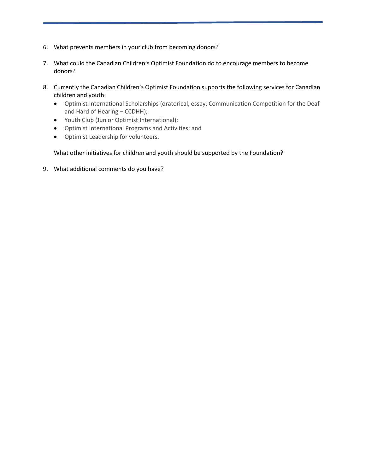- 6. What prevents members in your club from becoming donors?
- 7. What could the Canadian Children's Optimist Foundation do to encourage members to become donors?
- 8. Currently the Canadian Children's Optimist Foundation supports the following services for Canadian children and youth:
	- Optimist International Scholarships (oratorical, essay, Communication Competition for the Deaf and Hard of Hearing – CCDHH);
	- Youth Club (Junior Optimist International);
	- Optimist International Programs and Activities; and
	- Optimist Leadership for volunteers.

### What other initiatives for children and youth should be supported by the Foundation?

9. What additional comments do you have?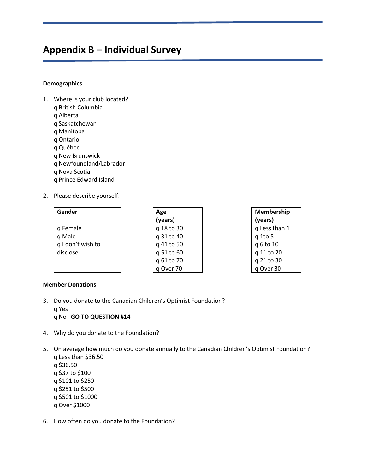# **Appendix B – Individual Survey**

#### **Demographics**

- 1. Where is your club located?
	- q British Columbia
	- q Alberta
	- q Saskatchewan
	- q Manitoba
	- q Ontario
	- q Québec
	- q New Brunswick
	- q Newfoundland/Labrador
	- q Nova Scotia
	- q Prince Edward Island
- 2. Please describe yourself.

| Gender            | Age        | Membership    |
|-------------------|------------|---------------|
|                   | (years)    | (years)       |
| q Female          | q 18 to 30 | q Less than 1 |
| q Male            | q 31 to 40 | q 1to 5       |
| q I don't wish to | q 41 to 50 | q 6 to 10     |
| disclose          | q 51 to 60 | q 11 to 20    |
|                   | q 61 to 70 | q 21 to 30    |
|                   | q Over 70  | q Over 30     |

### **Member Donations**

- 3. Do you donate to the Canadian Children's Optimist Foundation? q Yes q No **GO TO QUESTION #14**
- 4. Why do you donate to the Foundation?
- 5. On average how much do you donate annually to the Canadian Children's Optimist Foundation? q Less than \$36.50 q \$36.50 q \$37 to \$100 q \$101 to \$250 q \$251 to \$500 q \$501 to \$1000
	- q Over \$1000
- 6. How often do you donate to the Foundation?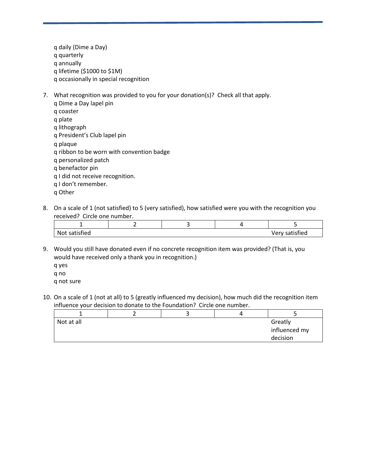q daily (Dime a Day) q quarterly q annually q lifetime (\$1000 to \$1M) q occasionally in special recognition

- 7. What recognition was provided to you for your donation(s)? Check all that apply.
	- q Dime a Day lapel pin q coaster q plate q lithograph q President's Club lapel pin q plaque q ribbon to be worn with convention badge q personalized patch q benefactor pin q I did not receive recognition. q I don't remember. q Other
- 8. On a scale of 1 (not satisfied) to 5 (very satisfied), how satisfied were you with the recognition you received? Circle one number.

| Nu.<br>ned |  |  | Tied<br>. C I |
|------------|--|--|---------------|

9. Would you still have donated even if no concrete recognition item was provided? (That is, you would have received only a thank you in recognition.)

q yes q no q not sure

10. On a scale of 1 (not at all) to 5 (greatly influenced my decision), how much did the recognition item influence your decision to donate to the Foundation? Circle one number.

| Not at all |  | Greatly       |          |
|------------|--|---------------|----------|
|            |  | influenced my |          |
|            |  |               | decision |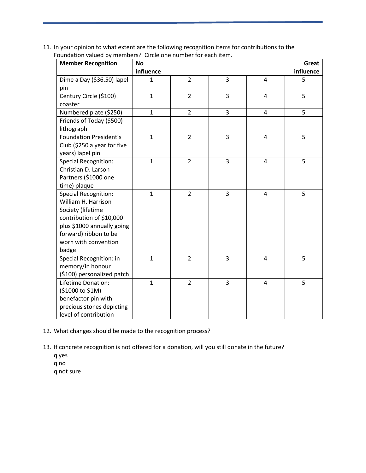11. In your opinion to what extent are the following recognition items for contributions to the Foundation valued by members? Circle one number for each item.

| <b>Member Recognition</b>     | <b>No</b>    |                |   |                | Great     |
|-------------------------------|--------------|----------------|---|----------------|-----------|
|                               | influence    |                |   |                | influence |
| Dime a Day (\$36.50) lapel    | $\mathbf{1}$ | $\overline{2}$ | 3 | $\overline{4}$ | 5         |
| pin                           |              |                |   |                |           |
| Century Circle (\$100)        | $\mathbf{1}$ | $\overline{2}$ | 3 | 4              | 5         |
| coaster                       |              |                |   |                |           |
| Numbered plate (\$250)        | $\mathbf{1}$ | $\overline{2}$ | 3 | 4              | 5         |
| Friends of Today (\$500)      |              |                |   |                |           |
| lithograph                    |              |                |   |                |           |
| <b>Foundation President's</b> | $\mathbf{1}$ | $\overline{2}$ | 3 | 4              | 5         |
| Club (\$250 a year for five   |              |                |   |                |           |
| years) lapel pin              |              |                |   |                |           |
| <b>Special Recognition:</b>   | $\mathbf{1}$ | $\overline{2}$ | 3 | $\overline{4}$ | 5         |
| Christian D. Larson           |              |                |   |                |           |
| Partners (\$1000 one          |              |                |   |                |           |
| time) plaque                  |              |                |   |                |           |
| <b>Special Recognition:</b>   | $\mathbf{1}$ | $\overline{2}$ | 3 | 4              | 5         |
| William H. Harrison           |              |                |   |                |           |
| Society (lifetime             |              |                |   |                |           |
| contribution of \$10,000      |              |                |   |                |           |
| plus \$1000 annually going    |              |                |   |                |           |
| forward) ribbon to be         |              |                |   |                |           |
| worn with convention          |              |                |   |                |           |
| badge                         |              |                |   |                |           |
| Special Recognition: in       | $\mathbf{1}$ | $\overline{2}$ | 3 | 4              | 5         |
| memory/in honour              |              |                |   |                |           |
| (\$100) personalized patch    |              |                |   |                |           |
| Lifetime Donation:            | $\mathbf{1}$ | $\overline{2}$ | 3 | $\overline{4}$ | 5         |
| (\$1000 to \$1M)              |              |                |   |                |           |
| benefactor pin with           |              |                |   |                |           |
| precious stones depicting     |              |                |   |                |           |
| level of contribution         |              |                |   |                |           |

- 12. What changes should be made to the recognition process?
- 13. If concrete recognition is not offered for a donation, will you still donate in the future?
	- q yes
	- q no
	- q not sure